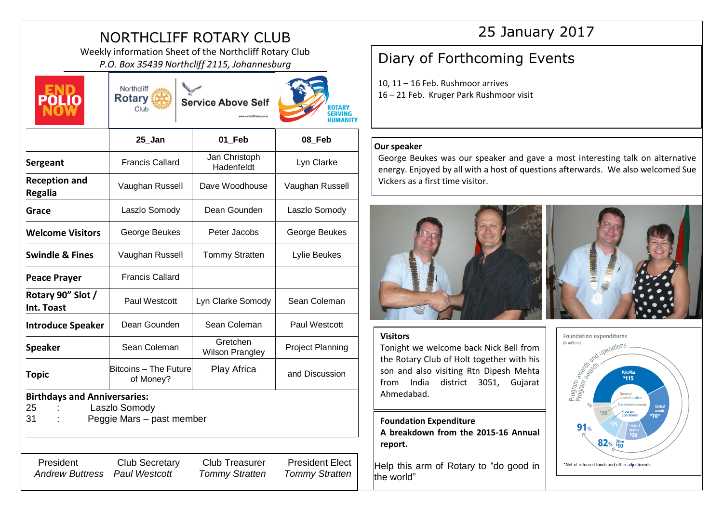# NORTHCLIFF ROTARY CLUB

Weekly information Sheet of the Northcliff Rotary Club PRIV INTOFMATION Sheet of the Northcliff Rotary Club<br>P.O. Box 35439 Northcliff 2115, Johannesburg **Diary of Forthcoming Events** 



**Rotary Service Above Self** Club

Northcliff



|                                                 | $25$ _Jan                                  | 01_Feb                             | 08_Feb                  |
|-------------------------------------------------|--------------------------------------------|------------------------------------|-------------------------|
| Sergeant                                        | <b>Francis Callard</b>                     | Jan Christoph<br>Hadenfeldt        | Lyn Clarke              |
| <b>Reception and</b><br><b>Regalia</b>          | Vaughan Russell                            | Dave Woodhouse                     | Vaughan Russell         |
| Grace                                           | Laszlo Somody                              | Dean Gounden                       | Laszlo Somody           |
| <b>Welcome Visitors</b>                         | George Beukes                              | Peter Jacobs                       | George Beukes           |
| <b>Swindle &amp; Fines</b>                      | Vaughan Russell                            | <b>Tommy Stratten</b>              | Lylie Beukes            |
| <b>Peace Prayer</b>                             | <b>Francis Callard</b>                     |                                    |                         |
| Rotary 90" Slot /<br>Int. Toast                 | Paul Westcott                              | Lyn Clarke Somody                  | Sean Coleman            |
| <b>Introduce Speaker</b>                        | Dean Gounden                               | Sean Coleman                       | Paul Westcott           |
| <b>Speaker</b>                                  | Sean Coleman                               | Gretchen<br><b>Wilson Prangley</b> | <b>Project Planning</b> |
| <b>Topic</b>                                    | Bitcoins - The Future<br>of Money?         | Play Africa                        | and Discussion          |
| <b>Birthdays and Anniversaries:</b><br>25<br>31 | Laszlo Somody<br>Peggie Mars - past member |                                    |                         |
|                                                 |                                            |                                    |                         |
| President                                       | <b>Club Secretary</b>                      | <b>Club Treasurer</b>              | <b>President Elect</b>  |

*Andrew Buttress Paul Westcott Tommy Stratten Tommy Stratten*

## 25 January 2017

10, 11 – 16 Feb. Rushmoor arrives 16 – 21 Feb. Kruger Park Rushmoor visit

## **Our speaker**

George Beukes was our speaker and gave a most interesting talk on alternative energy. Enjoyed by all with a host of questions afterwards. We also welcomed Sue Vickers as a first time visitor.





### **Visitors**

Tonight we welcome back Nick Bell from the Rotary Club of Holt together with his son and also visiting Rtn Dipesh Mehta from India district 3051, Gujarat Ahmedabad.

**Foundation Expenditure A breakdown from the 2015-16 Annual report.**

Help this arm of Rotary to "do good in the world"